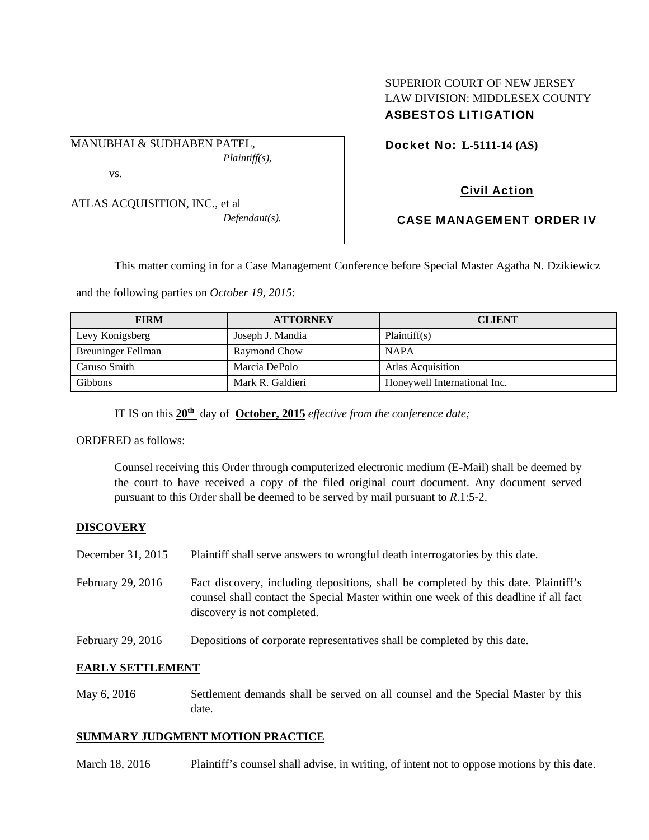## SUPERIOR COURT OF NEW JERSEY LAW DIVISION: MIDDLESEX COUNTY ASBESTOS LITIGATION

MANUBHAI & SUDHABEN PATEL, *Plaintiff(s),* 

vs.

ATLAS ACQUISITION, INC., et al *Defendant(s).*  Docket No: **L-5111-14 (AS)** 

# Civil Action

## CASE MANAGEMENT ORDER IV

This matter coming in for a Case Management Conference before Special Master Agatha N. Dzikiewicz

and the following parties on *October 19, 2015*:

| <b>FIRM</b>               | <b>ATTORNEY</b>  | <b>CLIENT</b>                |
|---------------------------|------------------|------------------------------|
| Levy Konigsberg           | Joseph J. Mandia | Plaintiff(s)                 |
| <b>Breuninger Fellman</b> | Raymond Chow     | <b>NAPA</b>                  |
| Caruso Smith              | Marcia DePolo    | <b>Atlas Acquisition</b>     |
| <b>Gibbons</b>            | Mark R. Galdieri | Honeywell International Inc. |

IT IS on this **20th** day of **October, 2015** *effective from the conference date;*

ORDERED as follows:

Counsel receiving this Order through computerized electronic medium (E-Mail) shall be deemed by the court to have received a copy of the filed original court document. Any document served pursuant to this Order shall be deemed to be served by mail pursuant to *R*.1:5-2.

### **DISCOVERY**

- December 31, 2015 Plaintiff shall serve answers to wrongful death interrogatories by this date.
- February 29, 2016 Fact discovery, including depositions, shall be completed by this date. Plaintiff's counsel shall contact the Special Master within one week of this deadline if all fact discovery is not completed.
- February 29, 2016 Depositions of corporate representatives shall be completed by this date.

### **EARLY SETTLEMENT**

May 6, 2016 Settlement demands shall be served on all counsel and the Special Master by this date.

### **SUMMARY JUDGMENT MOTION PRACTICE**

March 18, 2016 Plaintiff's counsel shall advise, in writing, of intent not to oppose motions by this date.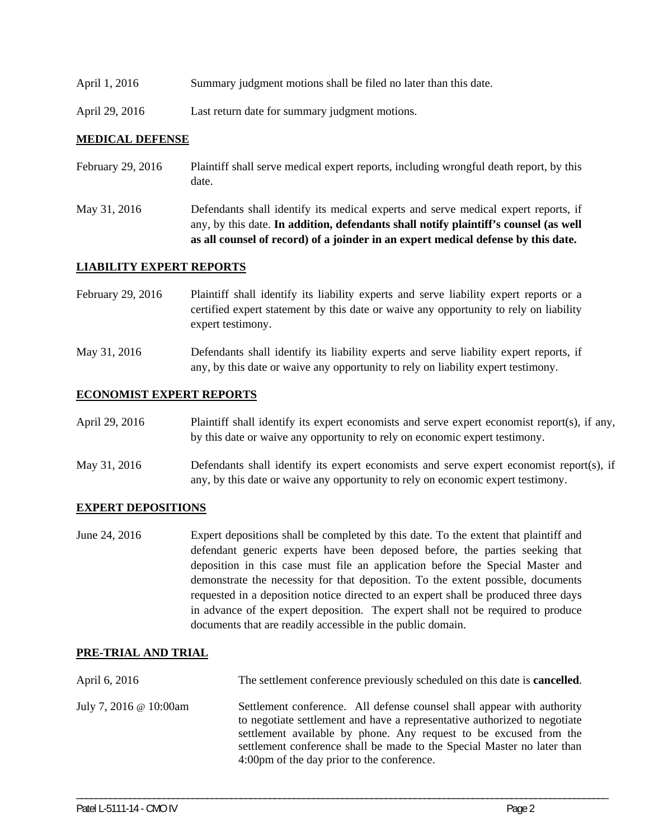- April 1, 2016 Summary judgment motions shall be filed no later than this date.
- April 29, 2016 Last return date for summary judgment motions.

#### **MEDICAL DEFENSE**

- February 29, 2016 Plaintiff shall serve medical expert reports, including wrongful death report, by this date.
- May 31, 2016 Defendants shall identify its medical experts and serve medical expert reports, if any, by this date. **In addition, defendants shall notify plaintiff's counsel (as well as all counsel of record) of a joinder in an expert medical defense by this date.**

#### **LIABILITY EXPERT REPORTS**

February 29, 2016 Plaintiff shall identify its liability experts and serve liability expert reports or a certified expert statement by this date or waive any opportunity to rely on liability expert testimony.

May 31, 2016 Defendants shall identify its liability experts and serve liability expert reports, if any, by this date or waive any opportunity to rely on liability expert testimony.

#### **ECONOMIST EXPERT REPORTS**

| April 29, 2016                                                                             | Plaintiff shall identify its expert economists and serve expert economist report(s), if any,                                                                                                                                                                                                                                              |
|--------------------------------------------------------------------------------------------|-------------------------------------------------------------------------------------------------------------------------------------------------------------------------------------------------------------------------------------------------------------------------------------------------------------------------------------------|
|                                                                                            | by this date or waive any opportunity to rely on economic expert testimony.                                                                                                                                                                                                                                                               |
| $\mathbf{v}$ $\mathbf{v}$ $\mathbf{v}$ $\mathbf{v}$ $\mathbf{v}$ $\mathbf{v}$ $\mathbf{v}$ | $\mathbf{P}$ , $\mathbf{C}$ , $\mathbf{I}$ , $\mathbf{I}$ , $\mathbf{I}$ , $\mathbf{I}$ , $\mathbf{I}$ , $\mathbf{I}$ , $\mathbf{I}$ , $\mathbf{I}$ , $\mathbf{I}$ , $\mathbf{I}$ , $\mathbf{I}$ , $\mathbf{I}$ , $\mathbf{I}$ , $\mathbf{I}$ , $\mathbf{I}$ , $\mathbf{I}$ , $\mathbf{I}$ , $\mathbf{I}$ , $\mathbf{I}$ , $\mathbf{I}$ , |

May 31, 2016 Defendants shall identify its expert economists and serve expert economist report(s), if any, by this date or waive any opportunity to rely on economic expert testimony.

#### **EXPERT DEPOSITIONS**

June 24, 2016 Expert depositions shall be completed by this date. To the extent that plaintiff and defendant generic experts have been deposed before, the parties seeking that deposition in this case must file an application before the Special Master and demonstrate the necessity for that deposition. To the extent possible, documents requested in a deposition notice directed to an expert shall be produced three days in advance of the expert deposition. The expert shall not be required to produce documents that are readily accessible in the public domain.

#### **PRE-TRIAL AND TRIAL**

| April 6, 2016                 | The settlement conference previously scheduled on this date is <b>cancelled</b> .                                                                                                                                                                                                                                                                 |
|-------------------------------|---------------------------------------------------------------------------------------------------------------------------------------------------------------------------------------------------------------------------------------------------------------------------------------------------------------------------------------------------|
| July 7, 2016 $\omega$ 10:00am | Settlement conference. All defense counsel shall appear with authority<br>to negotiate settlement and have a representative authorized to negotiate<br>settlement available by phone. Any request to be excused from the<br>settlement conference shall be made to the Special Master no later than<br>4:00pm of the day prior to the conference. |

\_\_\_\_\_\_\_\_\_\_\_\_\_\_\_\_\_\_\_\_\_\_\_\_\_\_\_\_\_\_\_\_\_\_\_\_\_\_\_\_\_\_\_\_\_\_\_\_\_\_\_\_\_\_\_\_\_\_\_\_\_\_\_\_\_\_\_\_\_\_\_\_\_\_\_\_\_\_\_\_\_\_\_\_\_\_\_\_\_\_\_\_\_\_\_\_\_\_\_\_\_\_\_\_\_\_\_\_\_\_